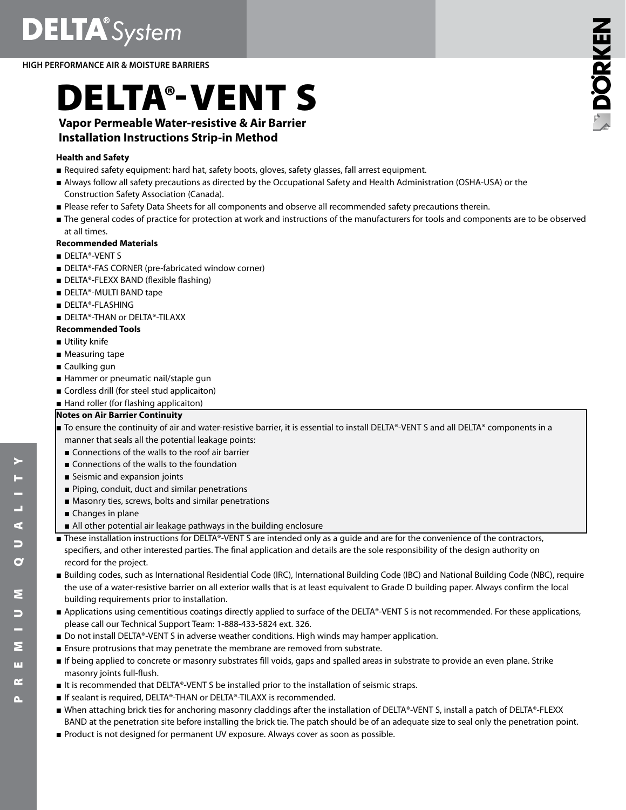**DELTA**<sup>®</sup>System

**HIGH PERFORMANCE AIR & MOISTURE BARRIERS**

# DELTA®-VENT S

# **Vapor Permeable Water-resistive & Air Barrier Installation Instructions Strip-in Method**

# **Health and Safety**

- Required safety equipment: hard hat, safety boots, gloves, safety glasses, fall arrest equipment.
- Always follow all safety precautions as directed by the Occupational Safety and Health Administration (OSHA-USA) or the Construction Safety Association (Canada).
- Please refer to Safety Data Sheets for all components and observe all recommended safety precautions therein.
- The general codes of practice for protection at work and instructions of the manufacturers for tools and components are to be observed at all times.

# **Recommended Materials**

- DELTA®-VENT S
- DELTA®-FAS CORNER (pre-fabricated window corner)
- DELTA®-FLEXX BAND (flexible flashing)
- DELTA®-MULTI BAND tape
- DELTA®-FLASHING
- DELTA®-THAN or DELTA®-TILAXX

# **Recommended Tools**

- Utility knife
- Measuring tape
- Caulking gun
- Hammer or pneumatic nail/staple gun
- Cordless drill (for steel stud applicaiton)
- Hand roller (for flashing applicaiton)

# **Notes on Air Barrier Continuity**

- To ensure the continuity of air and water-resistive barrier, it is essential to install DELTA®-VENT S and all DELTA® components in a manner that seals all the potential leakage points:
- Connections of the walls to the roof air barrier
- Connections of the walls to the foundation
- Seismic and expansion joints
- Piping, conduit, duct and similar penetrations
- Masonry ties, screws, bolts and similar penetrations
- Changes in plane
- All other potential air leakage pathways in the building enclosure
- These installation instructions for DELTA®-VENT S are intended only as a quide and are for the convenience of the contractors, specifiers, and other interested parties. The final application and details are the sole responsibility of the design authority on record for the project.
- Building codes, such as International Residential Code (IRC), International Building Code (IBC) and National Building Code (NBC), require the use of a water-resistive barrier on all exterior walls that is at least equivalent to Grade D building paper. Always confirm the local building requirements prior to installation.
- Applications using cementitious coatings directly applied to surface of the DELTA®-VENT S is not recommended. For these applications, please call our Technical Support Team: 1-888-433-5824 ext. 326.
- Do not install DELTA®-VENT S in adverse weather conditions. High winds may hamper application.
- Ensure protrusions that may penetrate the membrane are removed from substrate.
- If being applied to concrete or masonry substrates fill voids, gaps and spalled areas in substrate to provide an even plane. Strike masonry joints full-flush.
- It is recommended that DELTA®-VENT S be installed prior to the installation of seismic straps.
- If sealant is required, DELTA®-THAN or DELTA®-TILAXX is recommended.
- When attaching brick ties for anchoring masonry claddings after the installation of DELTA®-VENT S, install a patch of DELTA®-FLEXX BAND at the penetration site before installing the brick tie. The patch should be of an adequate size to seal only the penetration point.
- Product is not designed for permanent UV exposure. Always cover as soon as possible.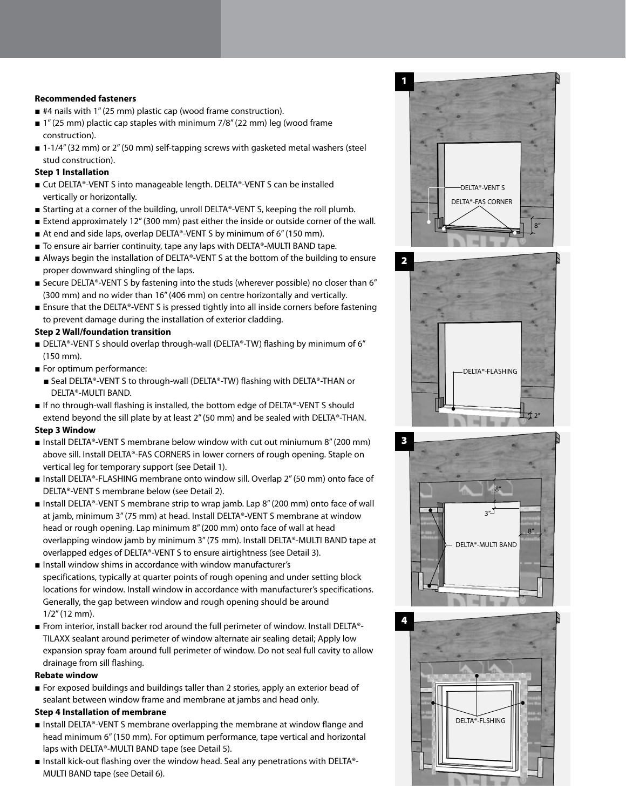#### **Recommended fasteners**

- #4 nails with 1" (25 mm) plastic cap (wood frame construction).
- 1" (25 mm) plactic cap staples with minimum 7/8" (22 mm) leg (wood frame construction).
- 1-1/4" (32 mm) or 2" (50 mm) self-tapping screws with gasketed metal washers (steel stud construction).

#### **Step 1 Installation**

- Cut DELTA®-VENT S into manageable length. DELTA®-VENT S can be installed vertically or horizontally.
- Starting at a corner of the building, unroll DELTA®-VENT S, keeping the roll plumb.
- Extend approximately 12" (300 mm) past either the inside or outside corner of the wall.
- At end and side laps, overlap DELTA®-VENT S by minimum of 6" (150 mm).
- To ensure air barrier continuity, tape any laps with DELTA®-MULTI BAND tape.
- Always begin the installation of DELTA®-VENT S at the bottom of the building to ensure proper downward shingling of the laps.
- Secure DELTA®-VENT S by fastening into the studs (wherever possible) no closer than 6" (300 mm) and no wider than 16" (406 mm) on centre horizontally and vertically.
- Ensure that the DELTA®-VENT S is pressed tightly into all inside corners before fastening to prevent damage during the installation of exterior cladding.

# **Step 2 Wall/foundation transition**

- DELTA®-VENT S should overlap through-wall (DELTA®-TW) flashing by minimum of 6" (150 mm).
- For optimum performance:
- Seal DELTA®-VENT S to through-wall (DELTA®-TW) flashing with DELTA®-THAN or DELTA®-MULTI BAND.
- If no through-wall flashing is installed, the bottom edge of DELTA®-VENT S should extend beyond the sill plate by at least 2" (50 mm) and be sealed with DELTA®-THAN.

#### **Step 3 Window**

- Install DELTA®-VENT S membrane below window with cut out miniumum 8" (200 mm) above sill. Install DELTA®-FAS CORNERS in lower corners of rough opening. Staple on vertical leg for temporary support (see Detail 1).
- Install DELTA®-FLASHING membrane onto window sill. Overlap 2" (50 mm) onto face of DELTA®-VENT S membrane below (see Detail 2).
- Install DELTA®-VENT S membrane strip to wrap jamb. Lap 8" (200 mm) onto face of wall at jamb, minimum 3" (75 mm) at head. Install DELTA®-VENT S membrane at window head or rough opening. Lap minimum 8" (200 mm) onto face of wall at head overlapping window jamb by minimum 3" (75 mm). Install DELTA®-MULTI BAND tape at overlapped edges of DELTA®-VENT S to ensure airtightness (see Detail 3).
- Install window shims in accordance with window manufacturer's specifications, typically at quarter points of rough opening and under setting block locations for window. Install window in accordance with manufacturer's specifications. Generally, the gap between window and rough opening should be around 1/2" (12 mm).
- From interior, install backer rod around the full perimeter of window. Install DELTA®-TILAXX sealant around perimeter of window alternate air sealing detail; Apply low expansion spray foam around full perimeter of window. Do not seal full cavity to allow drainage from sill flashing.

#### **Rebate window**

■ For exposed buildings and buildings taller than 2 stories, apply an exterior bead of sealant between window frame and membrane at jambs and head only.

#### **Step 4 Installation of membrane**

- Install DELTA®-VENT S membrane overlapping the membrane at window flange and head minimum 6" (150 mm). For optimum performance, tape vertical and horizontal laps with DELTA®-MULTI BAND tape (see Detail 5).
- Install kick-out flashing over the window head. Seal any penetrations with DELTA®-MULTI BAND tape (see Detail 6).